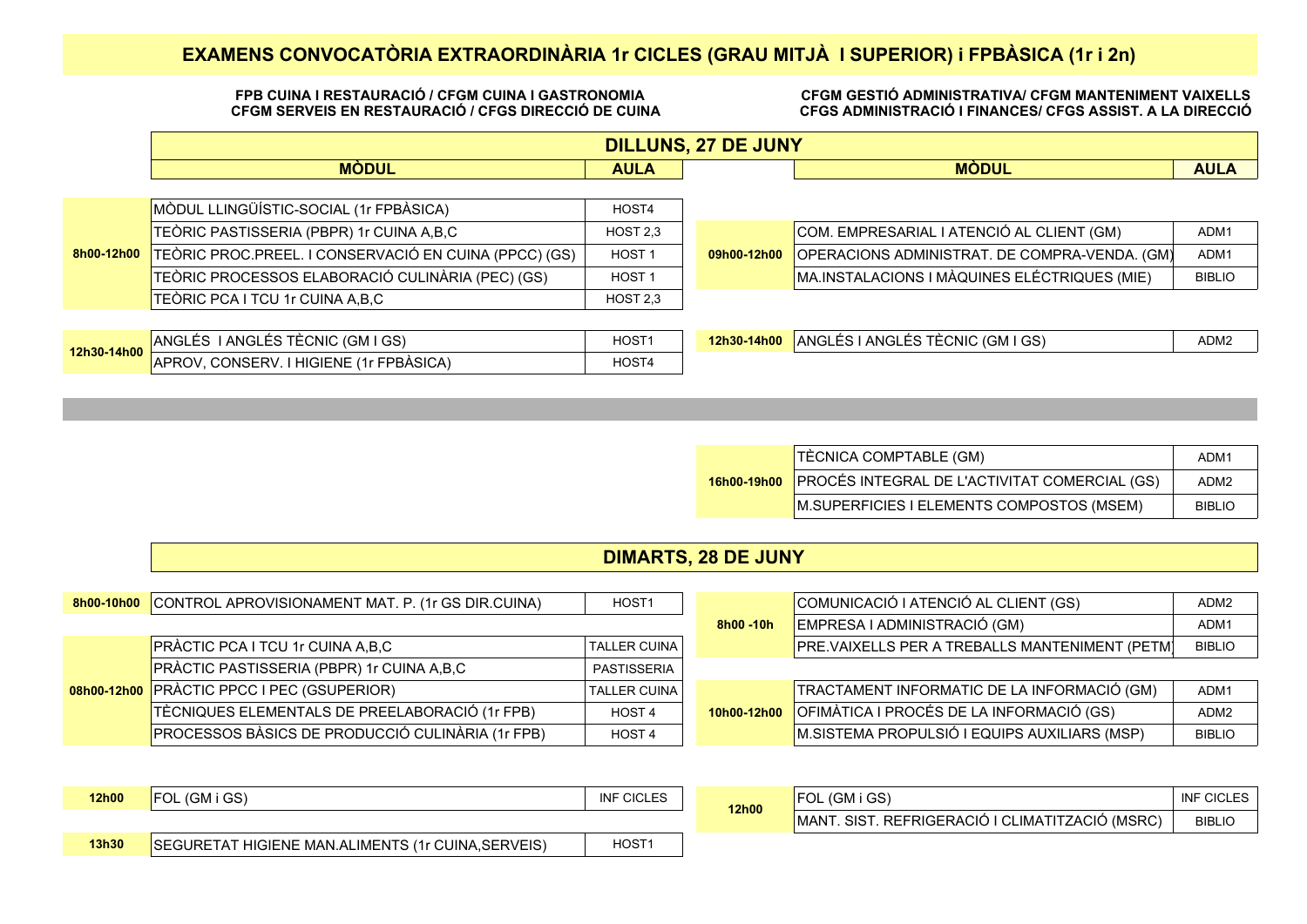## **EXAMENS CONVOCATÒRIA EXTRAORDINÀRIA 1r CICLES (GRAU MITJÀ I SUPERIOR) i FPBÀSICA (1r i 2n)**

#### **FPB CUINA I RESTAURACIÓ / CFGM CUINA I GASTRONOMIA CFGM SERVEIS EN RESTAURACIÓ / CFGS DIRECCIÓ DE CUINA**

**CFGM GESTIÓ ADMINISTRATIVA/ CFGM MANTENIMENT VAIXELLS CFGS ADMINISTRACIÓ I FINANCES/ CFGS ASSIST. A LA DIRECCIÓ**

|             | <b>DILLUNS, 27 DE JUNY</b>                            |                   |             |                                               |               |  |  |
|-------------|-------------------------------------------------------|-------------------|-------------|-----------------------------------------------|---------------|--|--|
|             | <b>MÒDUL</b><br><b>AULA</b>                           |                   |             | <b>MODUL</b>                                  | <b>AULA</b>   |  |  |
|             |                                                       |                   |             |                                               |               |  |  |
|             | MÒDUL LLINGÜÍSTIC-SOCIAL (1r FPBÀSICA)                | HOST4             |             |                                               |               |  |  |
|             | TEÒRIC PASTISSERIA (PBPR) 1r CUINA A,B,C              | HOST 2,3          |             | COM. EMPRESARIAL I ATENCIÓ AL CLIENT (GM)     | ADM1          |  |  |
| 8h00-12h00  | TEÒRIC PROC.PREEL. I CONSERVACIÓ EN CUINA (PPCC) (GS) | HOST <sub>1</sub> | 09h00-12h00 | OPERACIONS ADMINISTRAT. DE COMPRA-VENDA. (GM) | ADM1          |  |  |
|             | TEÒRIC PROCESSOS ELABORACIÓ CULINÀRIA (PEC) (GS)      | HOST <sub>1</sub> |             | MA.INSTALACIONS I MÀQUINES ELÉCTRIQUES (MIE)  | <b>BIBLIO</b> |  |  |
|             | TEÒRIC PCA I TCU 1r CUINA A,B,C                       | HOST 2,3          |             |                                               |               |  |  |
|             |                                                       |                   |             |                                               |               |  |  |
| 12h30-14h00 | ANGLÉS I ANGLÉS TÈCNIC (GM I GS)                      | HOST <sub>1</sub> | 12h30-14h00 | ANGLÉS I ANGLÉS TÈCNIC (GM I GS)              | ADM2          |  |  |
|             | APROV, CONSERV. I HIGIENE (1r FPBÀSICA)               | HOST4             |             |                                               |               |  |  |

| <b>TÈCNICA COMPTABLE (GM)</b>                             | ADM1             |
|-----------------------------------------------------------|------------------|
| 16h00-19h00 PROCÉS INTEGRAL DE L'ACTIVITAT COMERCIAL (GS) | ADM <sub>2</sub> |
| M.SUPERFICIES I ELEMENTS COMPOSTOS (MSEM)                 | <b>BIBLIO</b>    |

### **DIMARTS, 28 DE JUNY**

|  | <b>8h00-10h00</b> CONTROL APROVISIONAMENT MAT. P. (1r GS DIR.CUINA) | HOST1               |             | COMUNICACIÓ I ATENCIÓ AL CLIENT (GS)                  | ADM2          |
|--|---------------------------------------------------------------------|---------------------|-------------|-------------------------------------------------------|---------------|
|  |                                                                     |                     | 8h00 - 10h  | EMPRESA I ADMINISTRACIÓ (GM)                          | ADM1          |
|  | PRÀCTIC PCA I TCU 1r CUINA A,B,C                                    | <b>TALLER CUINA</b> |             | <b>PRE.VAIXELLS PER A TREBALLS MANTENIMENT (PETM)</b> | <b>BIBLIO</b> |
|  | PRÀCTIC PASTISSERIA (PBPR) 1r CUINA A,B,C                           | PASTISSERIA         |             |                                                       |               |
|  | 08h00-12h00 PRÀCTIC PPCC I PEC (GSUPERIOR)                          | <b>TALLER CUINA</b> |             | TRACTAMENT INFORMATIC DE LA INFORMACIÓ (GM)           | ADM1          |
|  | TÈCNIQUES ELEMENTALS DE PREELABORACIÓ (1r FPB)                      | HOST <sub>4</sub>   | 10h00-12h00 | OFIMÀTICA I PROCÉS DE LA INFORMACIÓ (GS)              | ADM2          |
|  | PROCESSOS BÀSICS DE PRODUCCIÓ CULINÀRIA (1r FPB)                    | HOST <sub>4</sub>   |             | M.SISTEMA PROPULSIÓ I EQUIPS AUXILIARS (MSP)          | <b>BIBLIO</b> |

| <b>12h00</b> | FOL (GM i GS)                                                | <b>INF CICLES</b> | 12h00 | . (GM i GS)<br>FOL.                             | <b>INF CICLES</b> |
|--------------|--------------------------------------------------------------|-------------------|-------|-------------------------------------------------|-------------------|
|              |                                                              |                   |       | MANT. SIST. REFRIGERACIÓ I CLIMATITZACIÓ (MSRC) | <b>BIBLIO</b>     |
| 13h30        | FHIGIENE MAN.ALIMENTS (1r CUINA,SERVEIS)<br><b>SEGURETAT</b> | HOST <sub>1</sub> |       |                                                 |                   |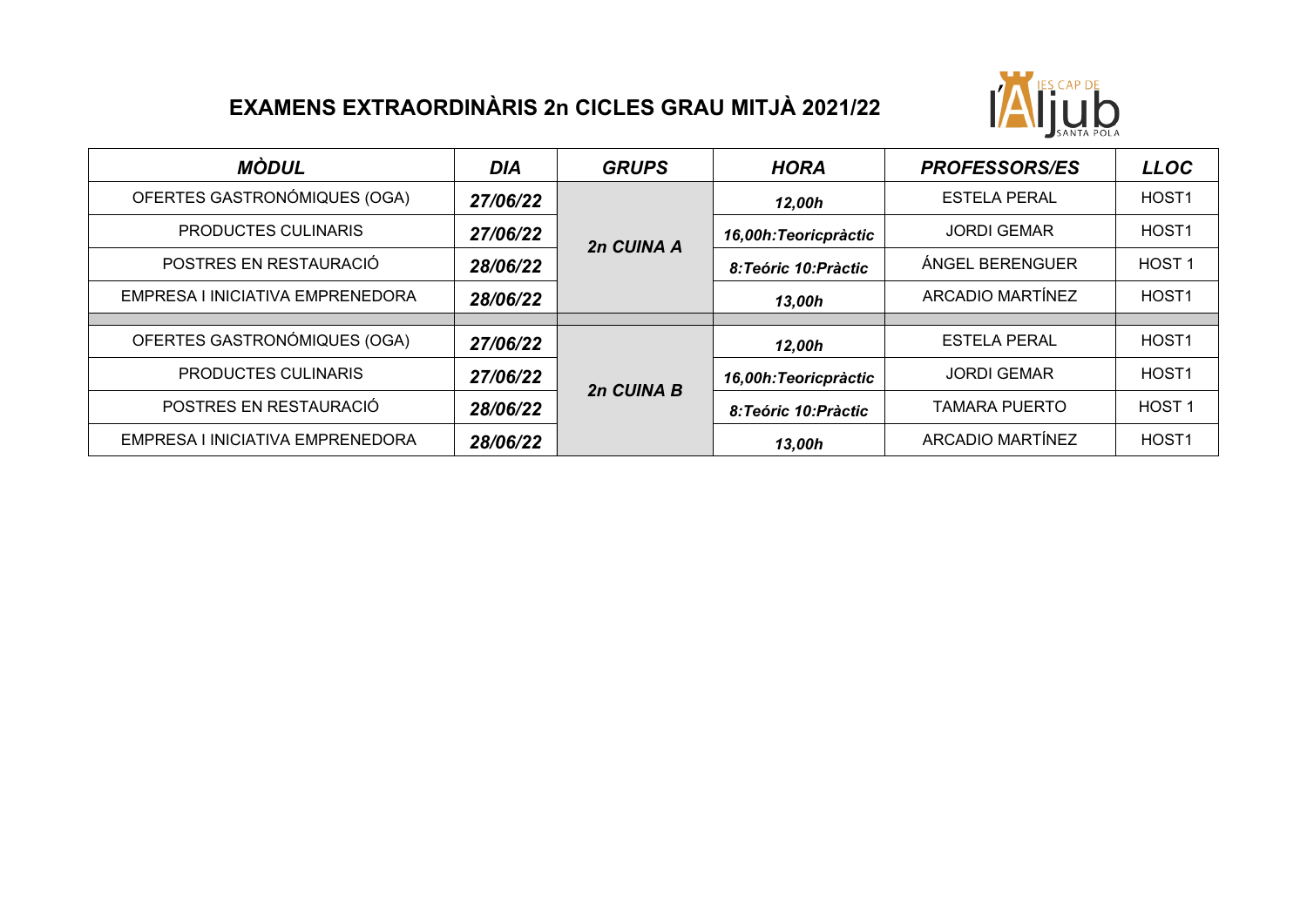# **EXAMENS EXTRAORDINÀRIS 2n CICLES GRAU MITJÀ 2021/22**



| MÒDUL                            | <b>DIA</b> | <b>GRUPS</b> | <b>HORA</b>           | <b>PROFESSORS/ES</b>    | <b>LLOC</b>       |
|----------------------------------|------------|--------------|-----------------------|-------------------------|-------------------|
| OFERTES GASTRONÓMIQUES (OGA)     | 27/06/22   |              | 12,00h                | <b>ESTELA PERAL</b>     | HOST <sub>1</sub> |
| PRODUCTES CULINARIS              | 27/06/22   | 2n CUINA A   | 16,00h: Teoricpràctic | <b>JORDI GEMAR</b>      | HOST <sub>1</sub> |
| POSTRES EN RESTAURACIÓ           | 28/06/22   |              | 8: Teóric 10: Pràctic | <b>ÁNGEL BERENGUER</b>  | HOST <sub>1</sub> |
| EMPRESA I INICIATIVA EMPRENEDORA | 28/06/22   |              | 13,00h                | <b>ARCADIO MARTÍNEZ</b> | HOST <sub>1</sub> |
|                                  |            |              |                       |                         |                   |
| OFERTES GASTRONÓMIQUES (OGA)     | 27/06/22   |              | 12,00h                | <b>ESTELA PERAL</b>     | HOST <sub>1</sub> |
| <b>PRODUCTES CULINARIS</b>       | 27/06/22   | 2n CUINA B   | 16,00h: Teoricpràctic | <b>JORDI GEMAR</b>      | HOST <sub>1</sub> |
| POSTRES EN RESTAURACIÓ           | 28/06/22   |              | 8:Teóric 10:Pràctic   | <b>TAMARA PUERTO</b>    | HOST <sub>1</sub> |
| EMPRESA I INICIATIVA EMPRENEDORA | 28/06/22   |              | 13,00h                | <b>ARCADIO MARTÍNEZ</b> | HOST <sub>1</sub> |